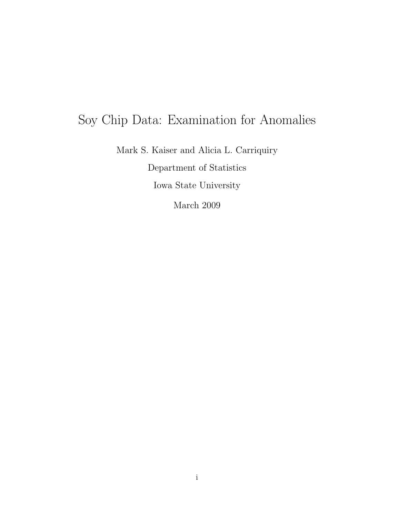# Soy Chip Data: Examination for Anomalies

Mark S. Kaiser and Alicia L. Carriquiry Department of Statistics Iowa State University

March 2009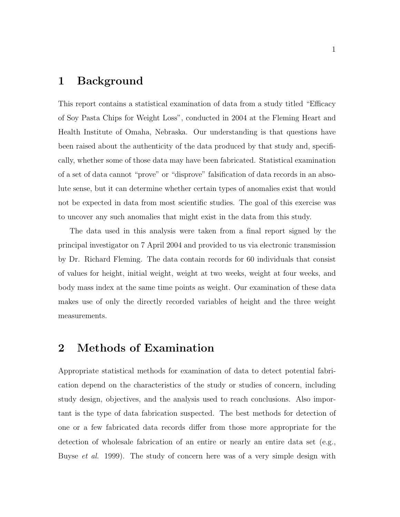## 1 Background

This report contains a statistical examination of data from a study titled "Efficacy of Soy Pasta Chips for Weight Loss", conducted in 2004 at the Fleming Heart and Health Institute of Omaha, Nebraska. Our understanding is that questions have been raised about the authenticity of the data produced by that study and, specifically, whether some of those data may have been fabricated. Statistical examination of a set of data cannot "prove" or "disprove" falsification of data records in an absolute sense, but it can determine whether certain types of anomalies exist that would not be expected in data from most scientific studies. The goal of this exercise was to uncover any such anomalies that might exist in the data from this study.

The data used in this analysis were taken from a final report signed by the principal investigator on 7 April 2004 and provided to us via electronic transmission by Dr. Richard Fleming. The data contain records for 60 individuals that consist of values for height, initial weight, weight at two weeks, weight at four weeks, and body mass index at the same time points as weight. Our examination of these data makes use of only the directly recorded variables of height and the three weight measurements.

## 2 Methods of Examination

Appropriate statistical methods for examination of data to detect potential fabrication depend on the characteristics of the study or studies of concern, including study design, objectives, and the analysis used to reach conclusions. Also important is the type of data fabrication suspected. The best methods for detection of one or a few fabricated data records differ from those more appropriate for the detection of wholesale fabrication of an entire or nearly an entire data set (e.g., Buyse *et al.* 1999). The study of concern here was of a very simple design with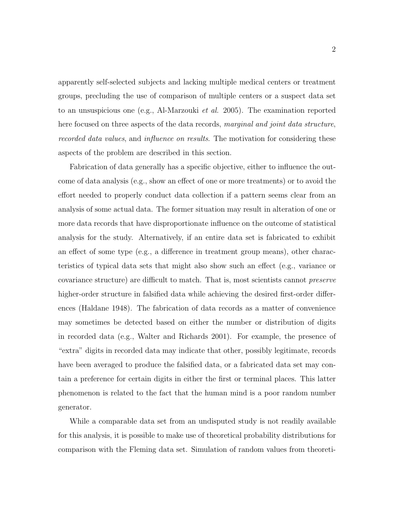apparently self-selected subjects and lacking multiple medical centers or treatment groups, precluding the use of comparison of multiple centers or a suspect data set to an unsuspicious one (e.g., Al-Marzouki et al. 2005). The examination reported here focused on three aspects of the data records, marginal and joint data structure, recorded data values, and influence on results. The motivation for considering these aspects of the problem are described in this section.

Fabrication of data generally has a specific objective, either to influence the outcome of data analysis (e.g., show an effect of one or more treatments) or to avoid the effort needed to properly conduct data collection if a pattern seems clear from an analysis of some actual data. The former situation may result in alteration of one or more data records that have disproportionate influence on the outcome of statistical analysis for the study. Alternatively, if an entire data set is fabricated to exhibit an effect of some type (e.g., a difference in treatment group means), other characteristics of typical data sets that might also show such an effect (e.g., variance or covariance structure) are difficult to match. That is, most scientists cannot preserve higher-order structure in falsified data while achieving the desired first-order differences (Haldane 1948). The fabrication of data records as a matter of convenience may sometimes be detected based on either the number or distribution of digits in recorded data (e.g., Walter and Richards 2001). For example, the presence of "extra" digits in recorded data may indicate that other, possibly legitimate, records have been averaged to produce the falsified data, or a fabricated data set may contain a preference for certain digits in either the first or terminal places. This latter phenomenon is related to the fact that the human mind is a poor random number generator.

While a comparable data set from an undisputed study is not readily available for this analysis, it is possible to make use of theoretical probability distributions for comparison with the Fleming data set. Simulation of random values from theoreti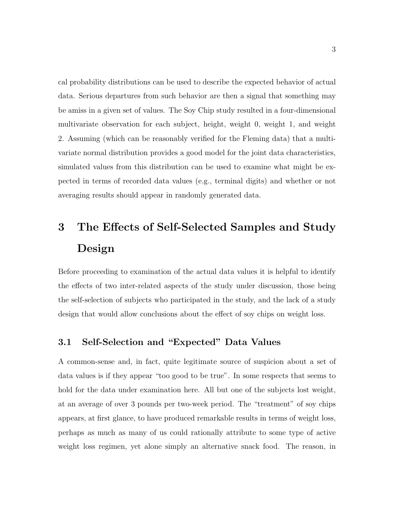cal probability distributions can be used to describe the expected behavior of actual data. Serious departures from such behavior are then a signal that something may be amiss in a given set of values. The Soy Chip study resulted in a four-dimensional multivariate observation for each subject, height, weight 0, weight 1, and weight 2. Assuming (which can be reasonably verified for the Fleming data) that a multivariate normal distribution provides a good model for the joint data characteristics, simulated values from this distribution can be used to examine what might be expected in terms of recorded data values (e.g., terminal digits) and whether or not averaging results should appear in randomly generated data.

# 3 The Effects of Self-Selected Samples and Study Design

Before proceeding to examination of the actual data values it is helpful to identify the effects of two inter-related aspects of the study under discussion, those being the self-selection of subjects who participated in the study, and the lack of a study design that would allow conclusions about the effect of soy chips on weight loss.

### 3.1 Self-Selection and "Expected" Data Values

A common-sense and, in fact, quite legitimate source of suspicion about a set of data values is if they appear "too good to be true". In some respects that seems to hold for the data under examination here. All but one of the subjects lost weight, at an average of over 3 pounds per two-week period. The "treatment" of soy chips appears, at first glance, to have produced remarkable results in terms of weight loss, perhaps as much as many of us could rationally attribute to some type of active weight loss regimen, yet alone simply an alternative snack food. The reason, in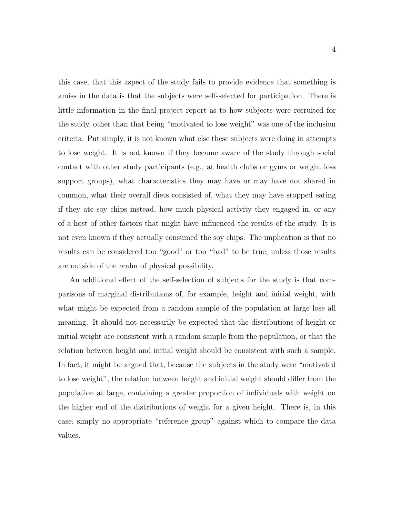this case, that this aspect of the study fails to provide evidence that something is amiss in the data is that the subjects were self-selected for participation. There is little information in the final project report as to how subjects were recruited for the study, other than that being "motivated to lose weight" was one of the inclusion criteria. Put simply, it is not known what else these subjects were doing in attempts to lose weight. It is not known if they became aware of the study through social contact with other study participants (e.g., at health clubs or gyms or weight loss support groups), what characteristics they may have or may have not shared in common, what their overall diets consisted of, what they may have stopped eating if they ate soy chips instead, how much physical activity they engaged in, or any of a host of other factors that might have influenced the results of the study. It is not even known if they actually consumed the soy chips. The implication is that no results can be considered too "good" or too "bad" to be true, unless those results are outside of the realm of physical possibility.

An additional effect of the self-selection of subjects for the study is that comparisons of marginal distributions of, for example, height and initial weight, with what might be expected from a random sample of the population at large lose all meaning. It should not necessarily be expected that the distributions of height or initial weight are consistent with a random sample from the population, or that the relation between height and initial weight should be consistent with such a sample. In fact, it might be argued that, because the subjects in the study were "motivated to lose weight", the relation between height and initial weight should differ from the population at large, containing a greater proportion of individuals with weight on the higher end of the distributions of weight for a given height. There is, in this case, simply no appropriate "reference group" against which to compare the data values.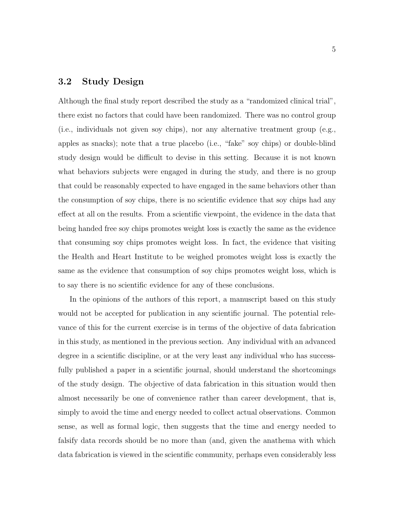#### 3.2 Study Design

Although the final study report described the study as a "randomized clinical trial", there exist no factors that could have been randomized. There was no control group (i.e., individuals not given soy chips), nor any alternative treatment group (e.g., apples as snacks); note that a true placebo (i.e., "fake" soy chips) or double-blind study design would be difficult to devise in this setting. Because it is not known what behaviors subjects were engaged in during the study, and there is no group that could be reasonably expected to have engaged in the same behaviors other than the consumption of soy chips, there is no scientific evidence that soy chips had any effect at all on the results. From a scientific viewpoint, the evidence in the data that being handed free soy chips promotes weight loss is exactly the same as the evidence that consuming soy chips promotes weight loss. In fact, the evidence that visiting the Health and Heart Institute to be weighed promotes weight loss is exactly the same as the evidence that consumption of soy chips promotes weight loss, which is to say there is no scientific evidence for any of these conclusions.

In the opinions of the authors of this report, a manuscript based on this study would not be accepted for publication in any scientific journal. The potential relevance of this for the current exercise is in terms of the objective of data fabrication in this study, as mentioned in the previous section. Any individual with an advanced degree in a scientific discipline, or at the very least any individual who has successfully published a paper in a scientific journal, should understand the shortcomings of the study design. The objective of data fabrication in this situation would then almost necessarily be one of convenience rather than career development, that is, simply to avoid the time and energy needed to collect actual observations. Common sense, as well as formal logic, then suggests that the time and energy needed to falsify data records should be no more than (and, given the anathema with which data fabrication is viewed in the scientific community, perhaps even considerably less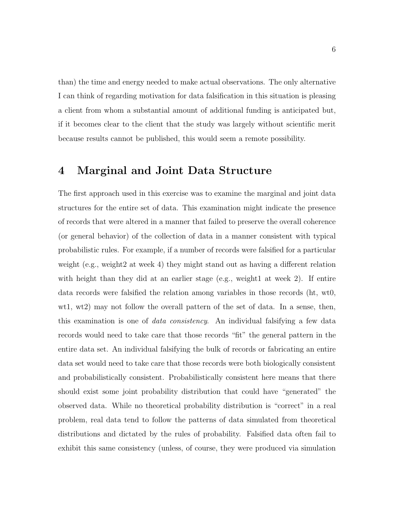than) the time and energy needed to make actual observations. The only alternative I can think of regarding motivation for data falsification in this situation is pleasing a client from whom a substantial amount of additional funding is anticipated but, if it becomes clear to the client that the study was largely without scientific merit because results cannot be published, this would seem a remote possibility.

## 4 Marginal and Joint Data Structure

The first approach used in this exercise was to examine the marginal and joint data structures for the entire set of data. This examination might indicate the presence of records that were altered in a manner that failed to preserve the overall coherence (or general behavior) of the collection of data in a manner consistent with typical probabilistic rules. For example, if a number of records were falsified for a particular weight (e.g., weight2 at week 4) they might stand out as having a different relation with height than they did at an earlier stage (e.g., weight1 at week 2). If entire data records were falsified the relation among variables in those records (ht, wt0, wt1, wt2) may not follow the overall pattern of the set of data. In a sense, then, this examination is one of *data consistency*. An individual falsifying a few data records would need to take care that those records "fit" the general pattern in the entire data set. An individual falsifying the bulk of records or fabricating an entire data set would need to take care that those records were both biologically consistent and probabilistically consistent. Probabilistically consistent here means that there should exist some joint probability distribution that could have "generated" the observed data. While no theoretical probability distribution is "correct" in a real problem, real data tend to follow the patterns of data simulated from theoretical distributions and dictated by the rules of probability. Falsified data often fail to exhibit this same consistency (unless, of course, they were produced via simulation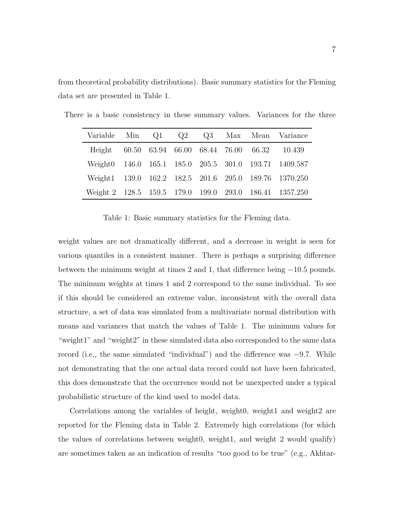from theoretical probability distributions). Basic summary statistics for the Fleming data set are presented in Table 1.

|  |  |  | Variable Min Q1 Q2 Q3 Max Mean Variance                |
|--|--|--|--------------------------------------------------------|
|  |  |  | Height 60.50 63.94 66.00 68.44 76.00 66.32 10.439      |
|  |  |  | Weight0 146.0 165.1 185.0 205.5 301.0 193.71 1409.587  |
|  |  |  | Weight1 139.0 162.2 182.5 201.6 295.0 189.76 1370.250  |
|  |  |  | Weight 2 128.5 159.5 179.0 199.0 293.0 186.41 1357.250 |

There is a basic consistency in these summary values. Variances for the three

Table 1: Basic summary statistics for the Fleming data.

weight values are not dramatically different, and a decrease in weight is seen for various quantiles in a consistent manner. There is perhaps a surprising difference between the minimum weight at times 2 and 1, that difference being −10.5 pounds. The minimum weights at times 1 and 2 correspond to the same individual. To see if this should be considered an extreme value, inconsistent with the overall data structure, a set of data was simulated from a multivariate normal distribution with means and variances that match the values of Table 1. The minimum values for "weight1" and "weight2" in these simulated data also corresponded to the same data record (i.e., the same simulated "individual") and the difference was −9.7. While not demonstrating that the one actual data record could not have been fabricated, this does demonstrate that the occurrence would not be unexpected under a typical probabilistic structure of the kind used to model data.

Correlations among the variables of height, weight0, weight1 and weight2 are reported for the Fleming data in Table 2. Extremely high correlations (for which the values of correlations between weight0, weight1, and weight 2 would qualify) are sometimes taken as an indication of results "too good to be true" (e.g., Akhtar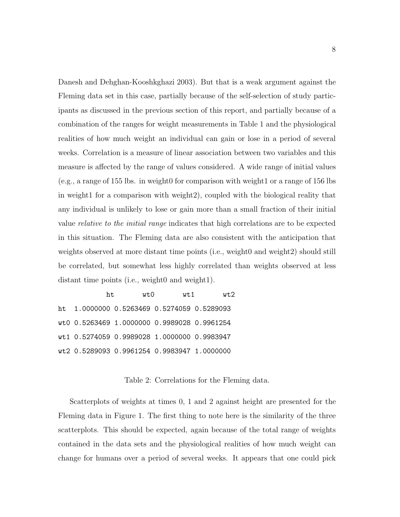Danesh and Dehghan-Kooshkghazi 2003). But that is a weak argument against the Fleming data set in this case, partially because of the self-selection of study participants as discussed in the previous section of this report, and partially because of a combination of the ranges for weight measurements in Table 1 and the physiological realities of how much weight an individual can gain or lose in a period of several weeks. Correlation is a measure of linear association between two variables and this measure is affected by the range of values considered. A wide range of initial values (e.g., a range of 155 lbs. in weight0 for comparison with weight1 or a range of 156 lbs in weight1 for a comparison with weight2), coupled with the biological reality that any individual is unlikely to lose or gain more than a small fraction of their initial value relative to the initial range indicates that high correlations are to be expected in this situation. The Fleming data are also consistent with the anticipation that weights observed at more distant time points (i.e., weight0 and weight2) should still be correlated, but somewhat less highly correlated than weights observed at less distant time points (i.e., weight0 and weight1).

ht wt0 wt1 wt2 ht 1.0000000 0.5263469 0.5274059 0.5289093 wt0 0.5263469 1.0000000 0.9989028 0.9961254 wt1 0.5274059 0.9989028 1.0000000 0.9983947 wt2 0.5289093 0.9961254 0.9983947 1.0000000

Table 2: Correlations for the Fleming data.

Scatterplots of weights at times 0, 1 and 2 against height are presented for the Fleming data in Figure 1. The first thing to note here is the similarity of the three scatterplots. This should be expected, again because of the total range of weights contained in the data sets and the physiological realities of how much weight can change for humans over a period of several weeks. It appears that one could pick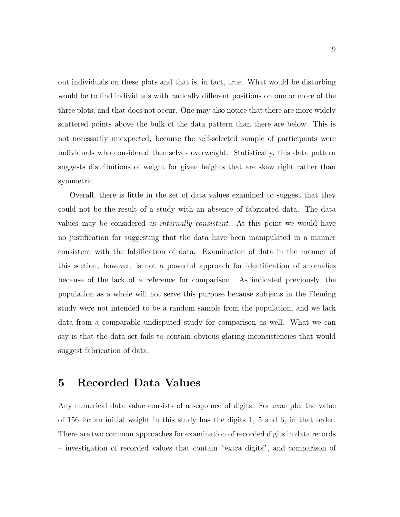out individuals on these plots and that is, in fact, true. What would be disturbing would be to find individuals with radically different positions on one or more of the three plots, and that does not occur. One may also notice that there are more widely scattered points above the bulk of the data pattern than there are below. This is not necessarily unexpected, because the self-selected sample of participants were individuals who considered themselves overweight. Statistically, this data pattern suggests distributions of weight for given heights that are skew right rather than symmetric.

Overall, there is little in the set of data values examined to suggest that they could not be the result of a study with an absence of fabricated data. The data values may be considered as internally consistent. At this point we would have no justification for suggesting that the data have been manipulated in a manner consistent with the falsification of data. Examination of data in the manner of this section, however, is not a powerful approach for identification of anomalies because of the lack of a reference for comparison. As indicated previously, the population as a whole will not serve this purpose because subjects in the Fleming study were not intended to be a random sample from the population, and we lack data from a comparable undisputed study for comparison as well. What we can say is that the data set fails to contain obvious glaring inconsistencies that would suggest fabrication of data.

## 5 Recorded Data Values

Any numerical data value consists of a sequence of digits. For example, the value of 156 for an initial weight in this study has the digits 1, 5 and 6, in that order. There are two common approaches for examination of recorded digits in data records – investigation of recorded values that contain "extra digits", and comparison of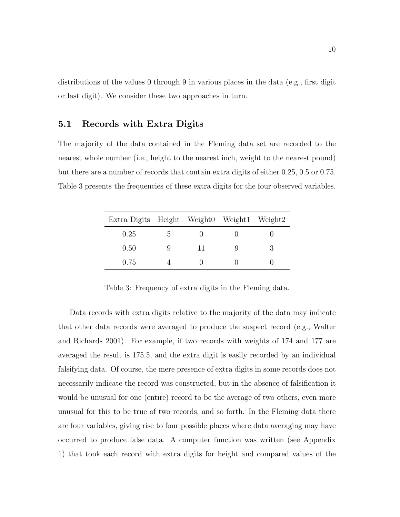distributions of the values 0 through 9 in various places in the data (e.g., first digit or last digit). We consider these two approaches in turn.

#### 5.1 Records with Extra Digits

The majority of the data contained in the Fleming data set are recorded to the nearest whole number (i.e., height to the nearest inch, weight to the nearest pound) but there are a number of records that contain extra digits of either 0.25, 0.5 or 0.75. Table 3 presents the frequencies of these extra digits for the four observed variables.

| Extra Digits Height Weight0 Weight1 Weight2 |               |    |   |
|---------------------------------------------|---------------|----|---|
| 0.25                                        | $\mathcal{D}$ |    |   |
| (0.50)                                      |               | 11 | 3 |
| 0.75                                        |               |    |   |

Table 3: Frequency of extra digits in the Fleming data.

Data records with extra digits relative to the majority of the data may indicate that other data records were averaged to produce the suspect record (e.g., Walter and Richards 2001). For example, if two records with weights of 174 and 177 are averaged the result is 175.5, and the extra digit is easily recorded by an individual falsifying data. Of course, the mere presence of extra digits in some records does not necessarily indicate the record was constructed, but in the absence of falsification it would be unusual for one (entire) record to be the average of two others, even more unusual for this to be true of two records, and so forth. In the Fleming data there are four variables, giving rise to four possible places where data averaging may have occurred to produce false data. A computer function was written (see Appendix 1) that took each record with extra digits for height and compared values of the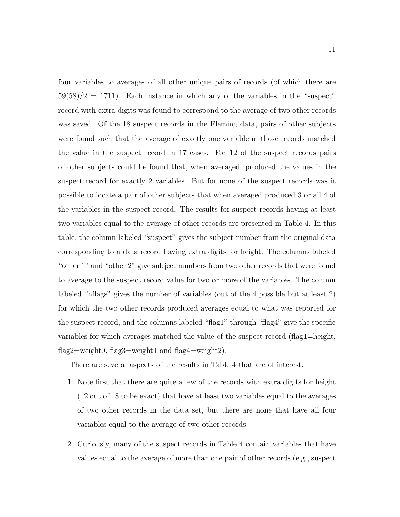four variables to averages of all other unique pairs of records (of which there are  $59(58)/2 = 1711$ ). Each instance in which any of the variables in the "suspect" record with extra digits was found to correspond to the average of two other records was saved. Of the 18 suspect records in the Fleming data, pairs of other subjects were found such that the average of exactly one variable in those records matched the value in the suspect record in 17 cases. For 12 of the suspect records pairs of other subjects could be found that, when averaged, produced the values in the suspect record for exactly 2 variables. But for none of the suspect records was it possible to locate a pair of other subjects that when averaged produced 3 or all 4 of the variables in the suspect record. The results for suspect records having at least two variables equal to the average of other records are presented in Table 4. In this table, the column labeled "suspect" gives the subject number from the original data corresponding to a data record having extra digits for height. The columns labeled "other 1" and "other 2" give subject numbers from two other records that were found to average to the suspect record value for two or more of the variables. The column labeled "nflags" gives the number of variables (out of the 4 possible but at least 2) for which the two other records produced averages equal to what was reported for the suspect record, and the columns labeled "flag1" through "flag4" give the specific variables for which averages matched the value of the suspect record (flag1=height, flag2=weight0, flag3=weight1 and flag4=weight2).

There are several aspects of the results in Table 4 that are of interest.

- 1. Note first that there are quite a few of the records with extra digits for height (12 out of 18 to be exact) that have at least two variables equal to the averages of two other records in the data set, but there are none that have all four variables equal to the average of two other records.
- 2. Curiously, many of the suspect records in Table 4 contain variables that have values equal to the average of more than one pair of other records (e.g., suspect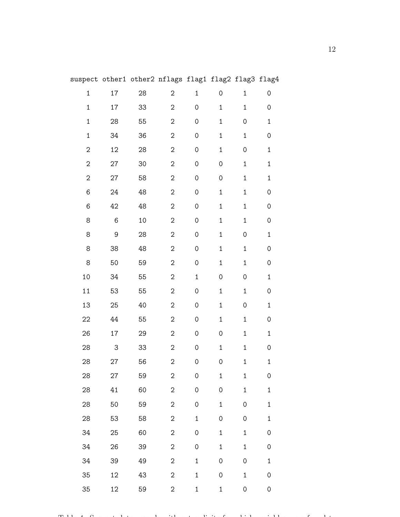| uppoou         |              |        | odnoit odnoiz mirago iragi iragz irago iragi |                     |                        |                        |                     |
|----------------|--------------|--------|----------------------------------------------|---------------------|------------------------|------------------------|---------------------|
| $\mathbf{1}$   | 17           | 28     | $2 \left( \frac{1}{2} \right)$               |                     | $1 \qquad 0$           | $1 \quad \blacksquare$ | 0                   |
| $\mathbf{1}$   | 17           | 33     | $\overline{2}$                               | $\mathsf{O}\xspace$ | 1                      | 1                      | $\mathsf{O}\xspace$ |
| $\mathbf{1}$   | 28           | 55     | $\overline{2}$                               | $\mathsf{O}\xspace$ | $\mathbf{1}$           | $\mathsf{O}\xspace$    | $\mathbf 1$         |
| $\mathbf{1}$   | 34           | 36     | $\overline{2}$                               | $\mathsf{O}\xspace$ | 1                      | $\mathbf{1}$           | 0                   |
| $\overline{2}$ | 12           | 28     | $\overline{2}$                               | $\mathsf{O}\xspace$ | $1 \quad$              | $\mathsf{O}\xspace$    | $\mathbf 1$         |
| 2              | 27           | $30\,$ | $\overline{2}$                               | $\mathsf{O}\xspace$ | $\overline{0}$         | $\mathbf{1}$           | $\mathbf 1$         |
| $\overline{2}$ | 27           | 58     | $\overline{2}$                               | $\mathsf{O}\xspace$ | 0                      | $\mathbf{1}$           | $\mathbf 1$         |
| 6              | 24           | 48     | $\overline{2}$                               | $\mathsf{O}\xspace$ | $\mathbf 1$            | $\mathbf{1}$           | 0                   |
| 6              | 42           | 48     | $\overline{2}$                               | $\mathsf{O}\xspace$ | $\mathbf{1}$           | $\mathbf{1}$           | 0                   |
| 8              | $\,6\,$      | $10\,$ | $\overline{2}$                               | $\mathsf{O}\xspace$ | $1 \quad$              | $\mathbf{1}$           | $\mathsf{O}\xspace$ |
| 8              | 9            | 28     | $\overline{2}$                               | $\mathsf{O}\xspace$ | $1 \quad \blacksquare$ | $0 \qquad \qquad$      | $\mathbf 1$         |
| 8              | 38           | 48     | $\overline{2}$                               | $\mathsf{O}\xspace$ | $1 \quad$              | $\mathbf{1}$           | 0                   |
| 8              | 50           | 59     | $\overline{2}$                               | $\mathsf{O}\xspace$ | $\mathbf{1}$           | $\mathbf{1}$           | 0                   |
| 10             | 34           | 55     | $\mathbf{2}$                                 | $\mathbf{1}$        | 0                      | 0                      | $\mathbf 1$         |
| 11             | 53           | 55     | $\overline{2}$                               | $\mathsf{O}\xspace$ | 1                      | $\mathbf{1}$           | $\mathsf{O}\xspace$ |
| 13             | 25           | 40     | $\overline{2}$                               | $\mbox{O}$          | $1 \quad \blacksquare$ | $\mathsf{O}\xspace$    | $\mathbf 1$         |
| 22             | 44           | 55     | $\overline{2}$                               | $\mathsf{O}\xspace$ | 1                      | $\mathbf{1}$           | 0                   |
| 26             | 17           | 29     | $\overline{2}$                               | $\mathsf{O}\xspace$ | 0                      | $\mathbf{1}$           | $\mathbf{1}$        |
| 28             | $\mathbf{3}$ | 33     | $\overline{2}$                               | $\mathsf{O}\xspace$ | 1                      | $\mathbf{1}$           | 0                   |
| 28             | 27           | 56     | $\overline{2}$                               | $\mathsf{O}\xspace$ | 0                      | $\mathbf{1}$           | $\mathbf 1$         |
| 28             | 27           | 59     | 2                                            | 0                   | 1                      | 1                      | 0                   |
| 28             | 41           | 60     | $\overline{2}$                               | $\mathbf 0$         | $\mathsf O$            | $\mathbf{1}$           | $\mathbf 1$         |
| 28             | 50           | 59     | $\overline{2}$                               | $\mathsf{O}\xspace$ | $\mathbf 1$            | $\mathsf{O}\xspace$    | $\mathbf{1}$        |
| 28             | 53           | 58     | $\sqrt{2}$                                   | $\mathbf{1}$        | 0                      | $\mathsf{O}\xspace$    | $\mathbf{1}$        |
| 34             | 25           | 60     | $\overline{2}$                               | $\mathsf{O}\xspace$ | $\mathbf 1$            | $\mathbf{1}$           | 0                   |
| 34             | 26           | 39     | $\sqrt{2}$                                   | $\mathsf{O}\xspace$ | $\mathbf 1$            | $\mathbf{1}$           | 0                   |
| 34             | 39           | 49     | $\sqrt{2}$                                   | $\mathbf{1}$        | 0                      | $\mathsf{O}\xspace$    | $\mathbf 1$         |
| 35             | 12           | 43     | $\overline{2}$                               | $\mathbf{1}$        | 0                      | $\mathbf{1}$           | $\mathbf 0$         |
| 35             | $12\,$       | 59     | $\overline{2}$                               | $\mathbf{1}$        | $\mathbf 1$            | 0                      | 0                   |

suspect other1 other2 nflags flag1 flag2 flag3 flag4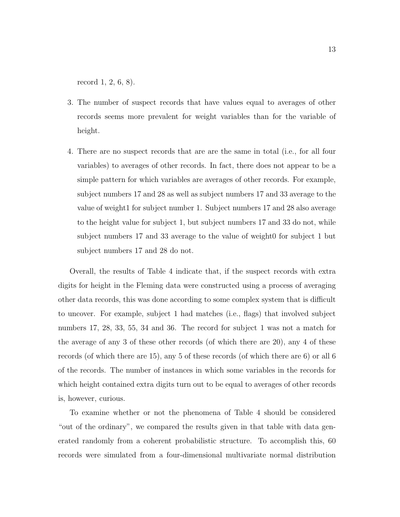record 1, 2, 6, 8).

- 3. The number of suspect records that have values equal to averages of other records seems more prevalent for weight variables than for the variable of height.
- 4. There are no suspect records that are are the same in total (i.e., for all four variables) to averages of other records. In fact, there does not appear to be a simple pattern for which variables are averages of other records. For example, subject numbers 17 and 28 as well as subject numbers 17 and 33 average to the value of weight1 for subject number 1. Subject numbers 17 and 28 also average to the height value for subject 1, but subject numbers 17 and 33 do not, while subject numbers 17 and 33 average to the value of weight0 for subject 1 but subject numbers 17 and 28 do not.

Overall, the results of Table 4 indicate that, if the suspect records with extra digits for height in the Fleming data were constructed using a process of averaging other data records, this was done according to some complex system that is difficult to uncover. For example, subject 1 had matches (i.e., flags) that involved subject numbers 17, 28, 33, 55, 34 and 36. The record for subject 1 was not a match for the average of any 3 of these other records (of which there are 20), any 4 of these records (of which there are 15), any 5 of these records (of which there are 6) or all 6 of the records. The number of instances in which some variables in the records for which height contained extra digits turn out to be equal to averages of other records is, however, curious.

To examine whether or not the phenomena of Table 4 should be considered "out of the ordinary", we compared the results given in that table with data generated randomly from a coherent probabilistic structure. To accomplish this, 60 records were simulated from a four-dimensional multivariate normal distribution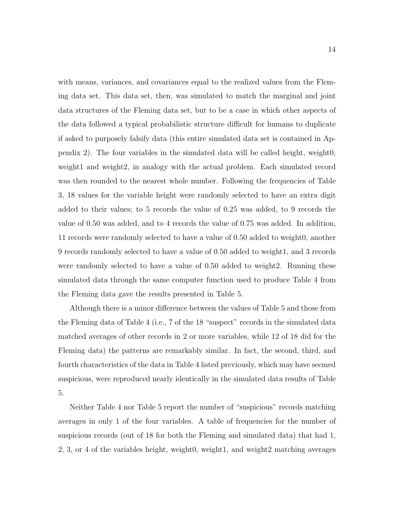with means, variances, and covariances equal to the realized values from the Fleming data set. This data set, then, was simulated to match the marginal and joint data structures of the Fleming data set, but to be a case in which other aspects of the data followed a typical probabilistic structure difficult for humans to duplicate if asked to purposely falsify data (this entire simulated data set is contained in Appendix 2). The four variables in the simulated data will be called height, weight0, weight1 and weight2, in analogy with the actual problem. Each simulated record was then rounded to the nearest whole number. Following the frequencies of Table 3, 18 values for the variable height were randomly selected to have an extra digit added to their values; to 5 records the value of 0.25 was added, to 9 records the value of 0.50 was added, and to 4 records the value of 0.75 was added. In addition, 11 records were randomly selected to have a value of 0.50 added to weight0, another 9 records randomly selected to have a value of 0.50 added to weight1, and 3 records were randomly selected to have a value of 0.50 added to weight2. Running these simulated data through the same computer function used to produce Table 4 from the Fleming data gave the results presented in Table 5.

Although there is a minor difference between the values of Table 5 and those from the Fleming data of Table 4 (i.e., 7 of the 18 "suspect" records in the simulated data matched averages of other records in 2 or more variables, while 12 of 18 did for the Fleming data) the patterns are remarkably similar. In fact, the second, third, and fourth characteristics of the data in Table 4 listed previously, which may have seemed suspicious, were reproduced nearly identically in the simulated data results of Table 5.

Neither Table 4 nor Table 5 report the number of "suspicious" records matching averages in only 1 of the four variables. A table of frequencies for the number of suspicious records (out of 18 for both the Fleming and simulated data) that had 1, 2, 3, or 4 of the variables height, weight0, weight1, and weight2 matching averages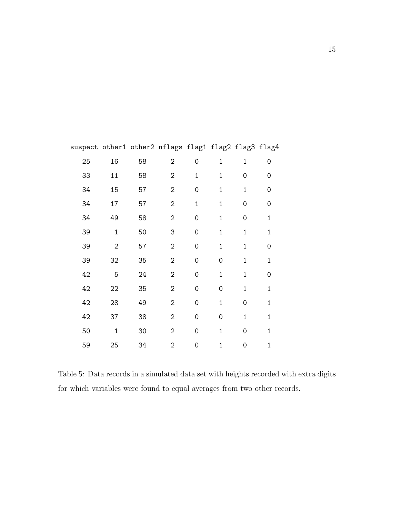| 25 | 16             | 58 | $\sqrt{2}$     | $\mathsf{O}\xspace$ | $\mathbf 1$    | $\mathbf{1}$        | 0              |
|----|----------------|----|----------------|---------------------|----------------|---------------------|----------------|
| 33 | 11             | 58 | $\overline{2}$ | $\mathbf{1}$        | $\mathbf{1}$   | $\mathbf 0$         | 0              |
| 34 | 15             | 57 | $\overline{2}$ | $\mathsf{O}\xspace$ | $\mathbf 1$    | $\mathbf{1}$        | 0              |
| 34 | 17             | 57 | $\sqrt{2}$     | $\mathbf{1}$        | $\mathbf{1}$   | $\mathbf 0$         | 0              |
| 34 | 49             | 58 | $\sqrt{2}$     | $\mathbf 0$         | $\mathbf{1}$   | $\mathbf 0$         | $\overline{1}$ |
| 39 | $\overline{1}$ | 50 | 3              | $\mathsf{O}\xspace$ | $\mathbf{1}$   | $\mathbf{1}$        | $\overline{1}$ |
| 39 | $\overline{2}$ | 57 | $\overline{2}$ | 0                   | $\mathbf{1}$   | $\mathbf{1}$        | 0              |
| 39 | 32             | 35 | $\overline{2}$ | $\mathbf 0$         | 0              | $\mathbf{1}$        | $\mathbf{1}$   |
| 42 | 5              | 24 | 2              | $\mathbf 0$         | $\mathbf{1}$   | $\mathbf{1}$        | $\mathsf O$    |
| 42 | 22             | 35 | $\sqrt{2}$     | $\mathsf{O}\xspace$ | 0              | $\mathbf{1}$        | $\mathbf{1}$   |
| 42 | 28             | 49 | $\overline{2}$ | $\mathbf 0$         | $\mathbf{1}$   | $\mathsf{O}\xspace$ | $\overline{1}$ |
| 42 | 37             | 38 | $\overline{2}$ | $\mathbf 0$         | $\overline{O}$ | $\overline{1}$      | $\mathbf{1}$   |
| 50 | $\mathbf{1}$   | 30 | $\sqrt{2}$     | $\mathsf{O}\xspace$ | $\mathbf 1$    | $\mathbf 0$         | $\mathbf{1}$   |
| 59 | 25             | 34 | 2              | 0                   | $\mathbf{1}$   | $\mathbf 0$         | $\mathbf{1}$   |
|    |                |    |                |                     |                |                     |                |

suspect other1 other2 nflags flag1 flag2 flag3 flag4

Table 5: Data records in a simulated data set with heights recorded with extra digits for which variables were found to equal averages from two other records.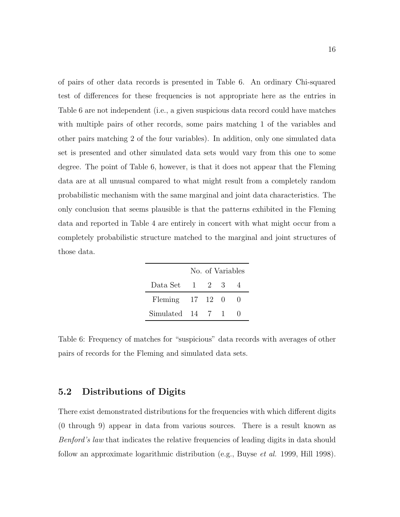of pairs of other data records is presented in Table 6. An ordinary Chi-squared test of differences for these frequencies is not appropriate here as the entries in Table 6 are not independent (i.e., a given suspicious data record could have matches with multiple pairs of other records, some pairs matching 1 of the variables and other pairs matching 2 of the four variables). In addition, only one simulated data set is presented and other simulated data sets would vary from this one to some degree. The point of Table 6, however, is that it does not appear that the Fleming data are at all unusual compared to what might result from a completely random probabilistic mechanism with the same marginal and joint data characteristics. The only conclusion that seems plausible is that the patterns exhibited in the Fleming data and reported in Table 4 are entirely in concert with what might occur from a completely probabilistic structure matched to the marginal and joint structures of those data.

|                               | No. of Variables |           |
|-------------------------------|------------------|-----------|
| Data Set 1 2 3                |                  |           |
| Fleming $17 \quad 12 \quad 0$ |                  | $\bigcup$ |
| Simulated 14 7 1              |                  |           |

Table 6: Frequency of matches for "suspicious" data records with averages of other pairs of records for the Fleming and simulated data sets.

#### 5.2 Distributions of Digits

There exist demonstrated distributions for the frequencies with which different digits (0 through 9) appear in data from various sources. There is a result known as Benford's law that indicates the relative frequencies of leading digits in data should follow an approximate logarithmic distribution (e.g., Buyse et al. 1999, Hill 1998).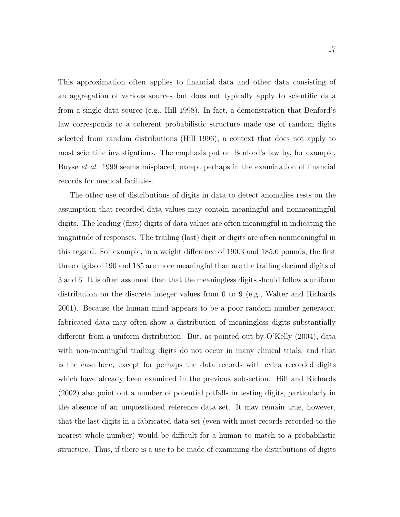This approximation often applies to financial data and other data consisting of an aggregation of various sources but does not typically apply to scientific data from a single data source (e.g., Hill 1998). In fact, a demonstration that Benford's law corresponds to a coherent probabilistic structure made use of random digits selected from random distributions (Hill 1996), a context that does not apply to most scientific investigations. The emphasis put on Benford's law by, for example, Buyse *et al.* 1999 seems misplaced, except perhaps in the examination of financial records for medical facilities.

The other use of distributions of digits in data to detect anomalies rests on the assumption that recorded data values may contain meaningful and nonmeaningful digits. The leading (first) digits of data values are often meaningful in indicating the magnitude of responses. The trailing (last) digit or digits are often nonmeaningful in this regard. For example, in a weight difference of 190.3 and 185.6 pounds, the first three digits of 190 and 185 are more meaningful than are the trailing decimal digits of 3 and 6. It is often assumed then that the meaningless digits should follow a uniform distribution on the discrete integer values from 0 to 9 (e.g., Walter and Richards 2001). Because the human mind appears to be a poor random number generator, fabricated data may often show a distribution of meaningless digits substantially different from a uniform distribution. But, as pointed out by O'Kelly (2004), data with non-meaningful trailing digits do not occur in many clinical trials, and that is the case here, except for perhaps the data records with extra recorded digits which have already been examined in the previous subsection. Hill and Richards (2002) also point out a number of potential pitfalls in testing digits, particularly in the absence of an unquestioned reference data set. It may remain true, however, that the last digits in a fabricated data set (even with most records recorded to the nearest whole number) would be difficult for a human to match to a probabilistic structure. Thus, if there is a use to be made of examining the distributions of digits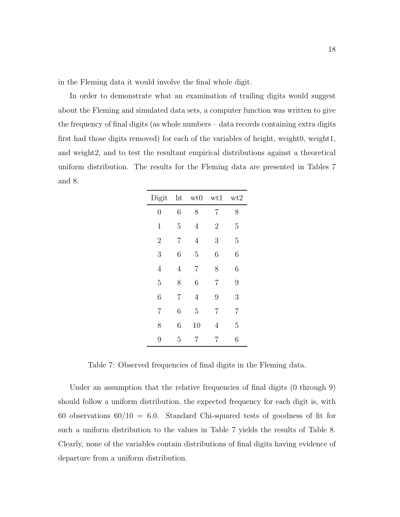in the Fleming data it would involve the final whole digit.

In order to demonstrate what an examination of trailing digits would suggest about the Fleming and simulated data sets, a computer function was written to give the frequency of final digits (as whole numbers – data records containing extra digits first had those digits removed) for each of the variables of height, weight0, weight1, and weight2, and to test the resultant empirical distributions against a theoretical uniform distribution. The results for the Fleming data are presented in Tables 7 and 8.

| Digit          | ht             | wt0            | wt1            | wt2            |
|----------------|----------------|----------------|----------------|----------------|
| $\overline{0}$ | 6              | 8              | $\overline{7}$ | 8              |
| $\mathbf 1$    | 5              | $\overline{4}$ | $\overline{2}$ | 5              |
| $\overline{2}$ | $\overline{7}$ | $\overline{4}$ | 3              | 5              |
| 3              | 6              | 5              | 6              | 6              |
| $\overline{4}$ | $\overline{4}$ | 7              | 8              | 6              |
| 5              | 8              | 6              | $\overline{7}$ | 9              |
| 6              | $\overline{7}$ | $\overline{4}$ | 9              | 3              |
| $\overline{7}$ | 6              | 5              | $\overline{7}$ | $\overline{7}$ |
| 8              | 6              | 10             | 4              | 5              |
| 9              | 5              | 7              | $\overline{7}$ | 6              |

Table 7: Observed frequencies of final digits in the Fleming data.

Under an assumption that the relative frequencies of final digits (0 through 9) should follow a uniform distribution, the expected frequency for each digit is, with 60 observations  $60/10 = 6.0$ . Standard Chi-squared tests of goodness of fit for such a uniform distribution to the values in Table 7 yields the results of Table 8. Clearly, none of the variables contain distributions of final digits having evidence of departure from a uniform distribution.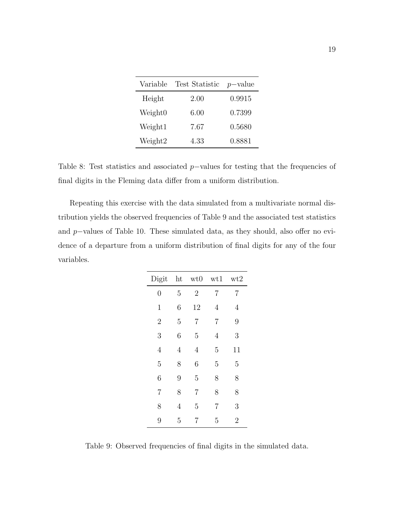| Variable            | Test Statistic | $p$ -value |
|---------------------|----------------|------------|
| Height              | 2.00           | 0.9915     |
| Weight <sub>0</sub> | 6.00           | 0.7399     |
| Weight1             | 7.67           | 0.5680     |
| Weight2             | 4.33           | 0.8881     |

Table 8: Test statistics and associated p–values for testing that the frequencies of final digits in the Fleming data differ from a uniform distribution.

Repeating this exercise with the data simulated from a multivariate normal distribution yields the observed frequencies of Table 9 and the associated test statistics and p−values of Table 10. These simulated data, as they should, also offer no evidence of a departure from a uniform distribution of final digits for any of the four variables.

| Digit          | ht             | wt0            | wt1            | wt2            |
|----------------|----------------|----------------|----------------|----------------|
| $\overline{0}$ | 5              | $\overline{2}$ | 7              | 7              |
| $\mathbf{1}$   | 6              | 12             | 4              | 4              |
| $\overline{2}$ | 5              | 7              | 7              | 9              |
| 3              | 6              | 5              | 4              | 3              |
| $\overline{4}$ | $\overline{4}$ | $\overline{4}$ | 5              | 11             |
| 5              | 8              | 6              | 5              | 5              |
| 6              | 9              | 5              | 8              | 8              |
| $\overline{7}$ | 8              | 7              | 8              | 8              |
| 8              | 4              | 5              | $\overline{7}$ | 3              |
| 9              | 5              | 7              | 5              | $\overline{2}$ |

Table 9: Observed frequencies of final digits in the simulated data.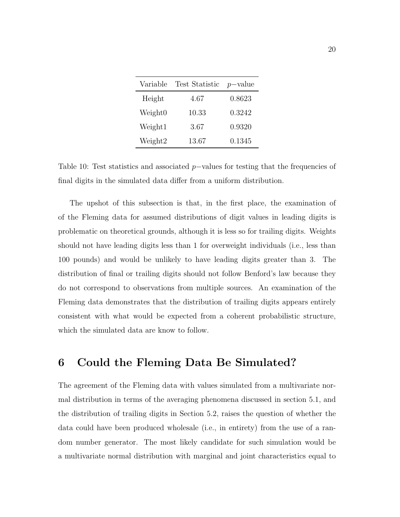| Variable            | Test Statistic | $p$ -value |
|---------------------|----------------|------------|
| Height              | 4.67           | 0.8623     |
| Weight <sub>0</sub> | 10.33          | 0.3242     |
| Weight1             | 3.67           | 0.9320     |
| Weight2             | 13.67          | 0.1345     |

Table 10: Test statistics and associated p–values for testing that the frequencies of final digits in the simulated data differ from a uniform distribution.

The upshot of this subsection is that, in the first place, the examination of of the Fleming data for assumed distributions of digit values in leading digits is problematic on theoretical grounds, although it is less so for trailing digits. Weights should not have leading digits less than 1 for overweight individuals (i.e., less than 100 pounds) and would be unlikely to have leading digits greater than 3. The distribution of final or trailing digits should not follow Benford's law because they do not correspond to observations from multiple sources. An examination of the Fleming data demonstrates that the distribution of trailing digits appears entirely consistent with what would be expected from a coherent probabilistic structure, which the simulated data are know to follow.

## 6 Could the Fleming Data Be Simulated?

The agreement of the Fleming data with values simulated from a multivariate normal distribution in terms of the averaging phenomena discussed in section 5.1, and the distribution of trailing digits in Section 5.2, raises the question of whether the data could have been produced wholesale (i.e., in entirety) from the use of a random number generator. The most likely candidate for such simulation would be a multivariate normal distribution with marginal and joint characteristics equal to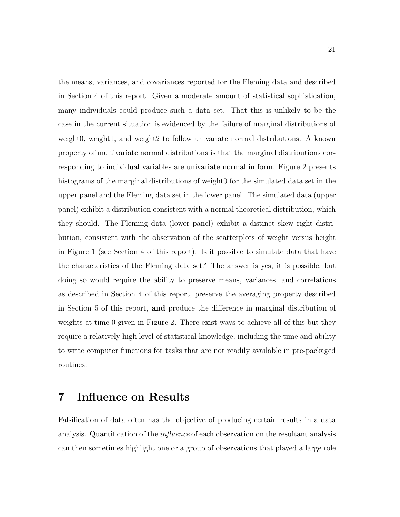the means, variances, and covariances reported for the Fleming data and described in Section 4 of this report. Given a moderate amount of statistical sophistication, many individuals could produce such a data set. That this is unlikely to be the case in the current situation is evidenced by the failure of marginal distributions of weight0, weight1, and weight2 to follow univariate normal distributions. A known property of multivariate normal distributions is that the marginal distributions corresponding to individual variables are univariate normal in form. Figure 2 presents histograms of the marginal distributions of weight0 for the simulated data set in the upper panel and the Fleming data set in the lower panel. The simulated data (upper panel) exhibit a distribution consistent with a normal theoretical distribution, which they should. The Fleming data (lower panel) exhibit a distinct skew right distribution, consistent with the observation of the scatterplots of weight versus height in Figure 1 (see Section 4 of this report). Is it possible to simulate data that have the characteristics of the Fleming data set? The answer is yes, it is possible, but doing so would require the ability to preserve means, variances, and correlations as described in Section 4 of this report, preserve the averaging property described in Section 5 of this report, and produce the difference in marginal distribution of weights at time 0 given in Figure 2. There exist ways to achieve all of this but they require a relatively high level of statistical knowledge, including the time and ability to write computer functions for tasks that are not readily available in pre-packaged routines.

## 7 Influence on Results

Falsification of data often has the objective of producing certain results in a data analysis. Quantification of the influence of each observation on the resultant analysis can then sometimes highlight one or a group of observations that played a large role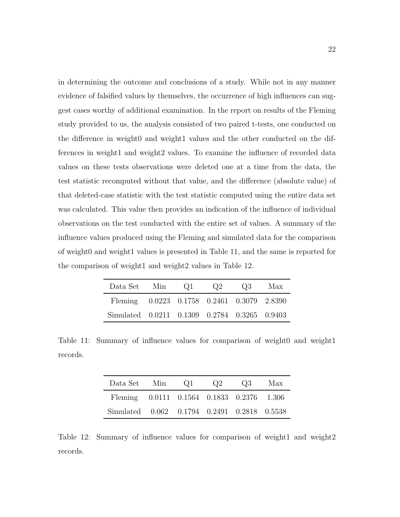in determining the outcome and conclusions of a study. While not in any manner evidence of falsified values by themselves, the occurrence of high influences can suggest cases worthy of additional examination. In the report on results of the Fleming study provided to us, the analysis consisted of two paired t-tests, one conducted on the difference in weight0 and weight1 values and the other conducted on the differences in weight1 and weight2 values. To examine the influence of recorded data values on these tests observations were deleted one at a time from the data, the test statistic recomputed without that value, and the difference (absolute value) of that deleted-case statistic with the test statistic computed using the entire data set was calculated. This value then provides an indication of the influence of individual observations on the test conducted with the entire set of values. A summary of the influence values produced using the Fleming and simulated data for the comparison of weight0 and weight1 values is presented in Table 11, and the same is reported for the comparison of weight1 and weight2 values in Table 12.

| Data Set Min Q1 Q2                           |  | Q3 | Max |
|----------------------------------------------|--|----|-----|
| Fleming 0.0223 0.1758 0.2461 0.3079 2.8390   |  |    |     |
| Simulated 0.0211 0.1309 0.2784 0.3265 0.9403 |  |    |     |

Table 11: Summary of influence values for comparison of weight0 and weight1 records.

| Data Set Min                                | Q1 | $Q^2$ | $\Omega$ | Max |
|---------------------------------------------|----|-------|----------|-----|
| Fleming 0.0111 0.1564 0.1833 0.2376 1.306   |    |       |          |     |
| Simulated 0.062 0.1794 0.2491 0.2818 0.5538 |    |       |          |     |

Table 12: Summary of influence values for comparison of weight1 and weight2 records.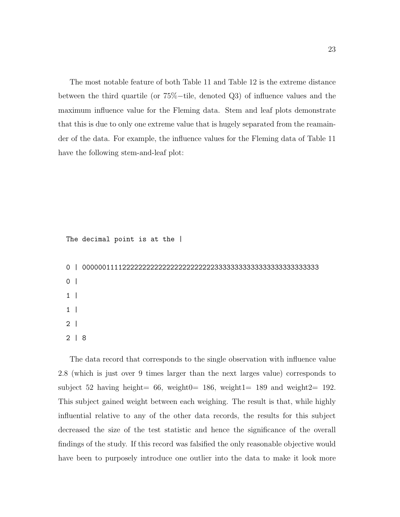The most notable feature of both Table 11 and Table 12 is the extreme distance between the third quartile (or 75%−tile, denoted Q3) of influence values and the maximum influence value for the Fleming data. Stem and leaf plots demonstrate that this is due to only one extreme value that is hugely separated from the reamainder of the data. For example, the influence values for the Fleming data of Table 11 have the following stem-and-leaf plot:

```
The decimal point is at the |
0 | 00000011112222222222222222222222233333333333333333333333333
0<sup>1</sup>1 |
1 |
2 |
2 | 8
```
The data record that corresponds to the single observation with influence value 2.8 (which is just over 9 times larger than the next larges value) corresponds to subject 52 having height= 66, weight0= 186, weight1= 189 and weight2= 192. This subject gained weight between each weighing. The result is that, while highly influential relative to any of the other data records, the results for this subject decreased the size of the test statistic and hence the significance of the overall findings of the study. If this record was falsified the only reasonable objective would have been to purposely introduce one outlier into the data to make it look more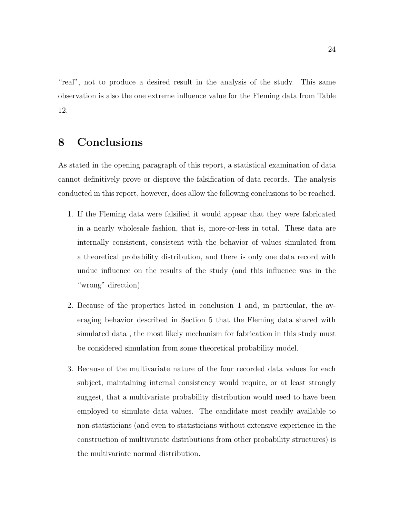"real", not to produce a desired result in the analysis of the study. This same observation is also the one extreme influence value for the Fleming data from Table 12.

## 8 Conclusions

As stated in the opening paragraph of this report, a statistical examination of data cannot definitively prove or disprove the falsification of data records. The analysis conducted in this report, however, does allow the following conclusions to be reached.

- 1. If the Fleming data were falsified it would appear that they were fabricated in a nearly wholesale fashion, that is, more-or-less in total. These data are internally consistent, consistent with the behavior of values simulated from a theoretical probability distribution, and there is only one data record with undue influence on the results of the study (and this influence was in the "wrong" direction).
- 2. Because of the properties listed in conclusion 1 and, in particular, the averaging behavior described in Section 5 that the Fleming data shared with simulated data , the most likely mechanism for fabrication in this study must be considered simulation from some theoretical probability model.
- 3. Because of the multivariate nature of the four recorded data values for each subject, maintaining internal consistency would require, or at least strongly suggest, that a multivariate probability distribution would need to have been employed to simulate data values. The candidate most readily available to non-statisticians (and even to statisticians without extensive experience in the construction of multivariate distributions from other probability structures) is the multivariate normal distribution.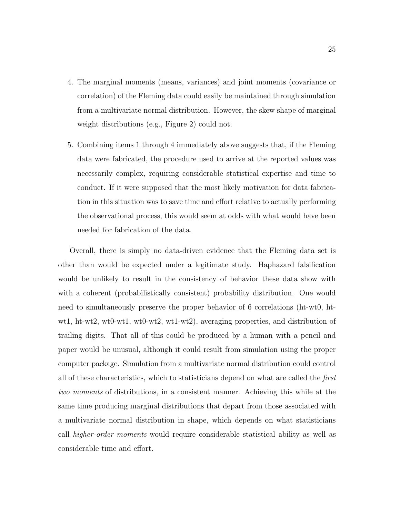- 4. The marginal moments (means, variances) and joint moments (covariance or correlation) of the Fleming data could easily be maintained through simulation from a multivariate normal distribution. However, the skew shape of marginal weight distributions (e.g., Figure 2) could not.
- 5. Combining items 1 through 4 immediately above suggests that, if the Fleming data were fabricated, the procedure used to arrive at the reported values was necessarily complex, requiring considerable statistical expertise and time to conduct. If it were supposed that the most likely motivation for data fabrication in this situation was to save time and effort relative to actually performing the observational process, this would seem at odds with what would have been needed for fabrication of the data.

Overall, there is simply no data-driven evidence that the Fleming data set is other than would be expected under a legitimate study. Haphazard falsification would be unlikely to result in the consistency of behavior these data show with with a coherent (probabilistically consistent) probability distribution. One would need to simultaneously preserve the proper behavior of 6 correlations (ht-wt0, htwt1, ht-wt2, wt0-wt1, wt0-wt2, wt1-wt2), averaging properties, and distribution of trailing digits. That all of this could be produced by a human with a pencil and paper would be unusual, although it could result from simulation using the proper computer package. Simulation from a multivariate normal distribution could control all of these characteristics, which to statisticians depend on what are called the first two moments of distributions, in a consistent manner. Achieving this while at the same time producing marginal distributions that depart from those associated with a multivariate normal distribution in shape, which depends on what statisticians call higher-order moments would require considerable statistical ability as well as considerable time and effort.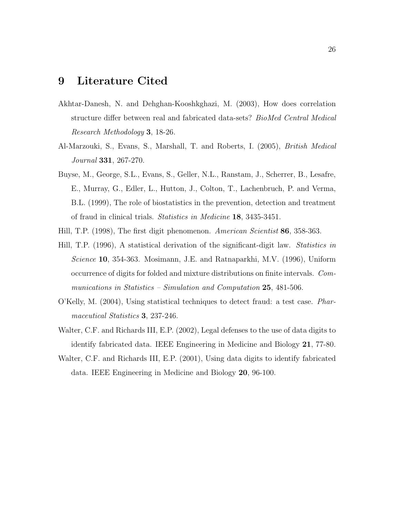## 9 Literature Cited

- Akhtar-Danesh, N. and Dehghan-Kooshkghazi, M. (2003), How does correlation structure differ between real and fabricated data-sets? BioMed Central Medical Research Methodology 3, 18-26.
- Al-Marzouki, S., Evans, S., Marshall, T. and Roberts, I. (2005), British Medical Journal 331, 267-270.
- Buyse, M., George, S.L., Evans, S., Geller, N.L., Ranstam, J., Scherrer, B., Lesafre, E., Murray, G., Edler, L., Hutton, J., Colton, T., Lachenbruch, P. and Verma, B.L. (1999), The role of biostatistics in the prevention, detection and treatment of fraud in clinical trials. Statistics in Medicine 18, 3435-3451.
- Hill, T.P. (1998), The first digit phenomenon. American Scientist 86, 358-363.
- Hill, T.P. (1996), A statistical derivation of the significant-digit law. Statistics in Science 10, 354-363. Mosimann, J.E. and Ratnaparkhi, M.V. (1996), Uniform occurrence of digits for folded and mixture distributions on finite intervals. Communications in Statistics – Simulation and Computation 25, 481-506.
- O'Kelly, M. (2004), Using statistical techniques to detect fraud: a test case. Pharmaceutical Statistics 3, 237-246.
- Walter, C.F. and Richards III, E.P. (2002), Legal defenses to the use of data digits to identify fabricated data. IEEE Engineering in Medicine and Biology 21, 77-80.
- Walter, C.F. and Richards III, E.P. (2001), Using data digits to identify fabricated data. IEEE Engineering in Medicine and Biology 20, 96-100.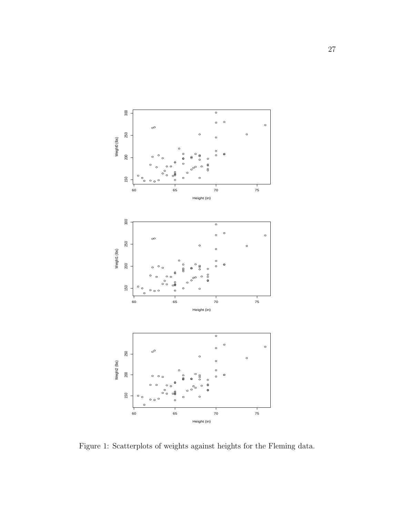

Figure 1: Scatterplots of weights against heights for the Fleming data.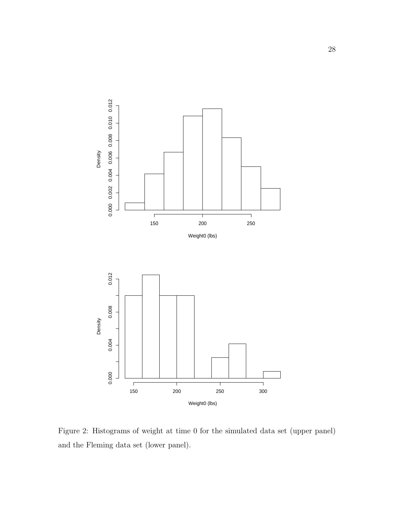

Figure 2: Histograms of weight at time 0 for the simulated data set (upper panel) and the Fleming data set (lower panel).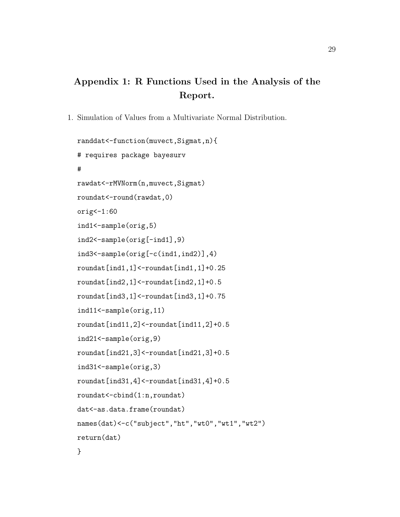## Appendix 1: R Functions Used in the Analysis of the Report.

1. Simulation of Values from a Multivariate Normal Distribution.

```
randdat<-function(muvect,Sigmat,n){
# requires package bayesurv
#
rawdat<-rMVNorm(n,muvect,Sigmat)
roundat<-round(rawdat,0)
orig<-1:60ind1<-sample(orig,5)
ind2<-sample(orig[-ind1],9)
ind3<-sample(orig[-c(ind1,ind2)],4)
roundat[ind1,1]<-roundat[ind1,1]+0.25
roundat[ind2,1]<-roundat[ind2,1]+0.5
roundat[ind3,1]<-roundat[ind3,1]+0.75
ind11<-sample(orig,11)
roundat[ind11,2]<-roundat[ind11,2]+0.5
ind21<-sample(orig,9)
roundat[ind21,3]<-roundat[ind21,3]+0.5
ind31<-sample(orig,3)
roundat[ind31,4]<-roundat[ind31,4]+0.5
roundat<-cbind(1:n,roundat)
dat<-as.data.frame(roundat)
names(dat)<-c("subject","ht","wt0","wt1","wt2")
return(dat)
}
```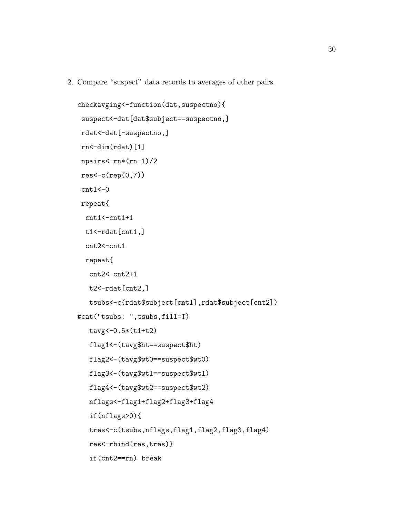2. Compare "suspect" data records to averages of other pairs.

```
checkavging<-function(dat,suspectno){
 suspect<-dat[dat$subject==suspectno,]
 rdat<-dat[-suspectno,]
 rn < -dim(rdat)[1]
 npairs<-rn*(rn-1)/2
 res < -c(rep(0,7))cnt1<-0repeat{
  cnt1 < -cnt1 + 1t1 <-rdat [cnt1,]
  cnt2<-cnt1
  repeat{
   cnt2<-cnt2+1t2 < - rdat[cnt2,]tsubs<-c(rdat$subject[cnt1],rdat$subject[cnt2])
#cat("tsubs: ",tsubs,fill=T)
   tavg<-0.5*(t1+t2)
   flag1<-(tavg$ht==suspect$ht)
   flag2<-(tavg$wt0==suspect$wt0)
   flag3<-(tavg$wt1==suspect$wt1)
   flag4<-(tavg$wt2==suspect$wt2)
   nflags<-flag1+flag2+flag3+flag4
   if(nflags>0){
   tres<-c(tsubs,nflags,flag1,flag2,flag3,flag4)
   res<-rbind(res,tres)}
   if(cnt2==rn) break
```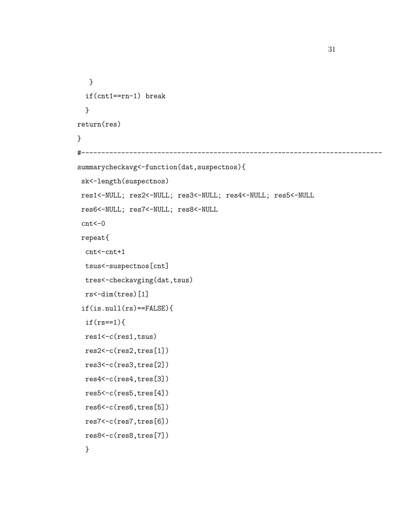```
}
  if(cnt1==rn-1) break
  }
return(res)
}
#---------------------------------------------------------------------------
summarycheckavg<-function(dat,suspectnos){
sk<-length(suspectnos)
res1<-NULL; res2<-NULL; res3<-NULL; res4<-NULL; res5<-NULL
res6<-NULL; res7<-NULL; res8<-NULL
 cnt < -0repeat{
  cnt<-cnt+1
 tsus<-suspectnos[cnt]
  tres<-checkavging(dat,tsus)
 rs<-dim(tres)[1]
 if(is.null(rs)=FALSE){if(rs==1){
 res1<-c(res1,tsus)
 res2<-c(res2,tres[1])
 res3<-c(res3,tres[2])
 res4<-c(res4,tres[3])
 res5<-c(res5,tres[4])
 res6<-c(res6,tres[5])
 res7<-c(res7,tres[6])
 res8<-c(res8,tres[7])
  }
```
31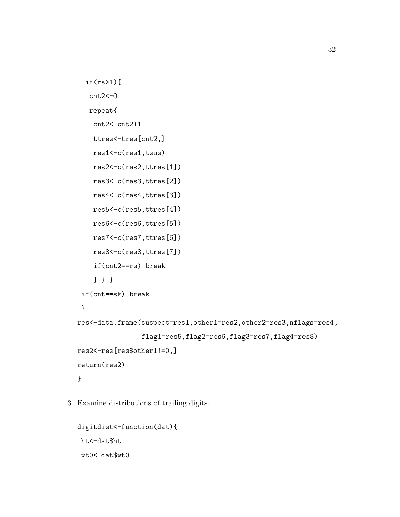```
if(rs>1){
   cnt2<-0repeat{
    cnt2 < -cnt2+1ttres<-tres[cnt2,]
    res1<-c(res1,tsus)
    res2<-c(res2,ttres[1])
    res3<-c(res3,ttres[2])
    res4<-c(res4,ttres[3])
    res5<-c(res5,ttres[4])
    res6<-c(res6,ttres[5])
    res7<-c(res7,ttres[6])
    res8<-c(res8,ttres[7])
    if(cnt2==rs) break
    } } }
 if(cnt==sk) break
 }
res<-data.frame(suspect=res1,other1=res2,other2=res3,nflags=res4,
                flag1=res5,flag2=res6,flag3=res7,flag4=res8)
res2<-res[res$other1!=0,]
return(res2)
}
```
3. Examine distributions of trailing digits.

```
digitdist<-function(dat){
ht<-dat$ht
wt0 <- dat $wt0
```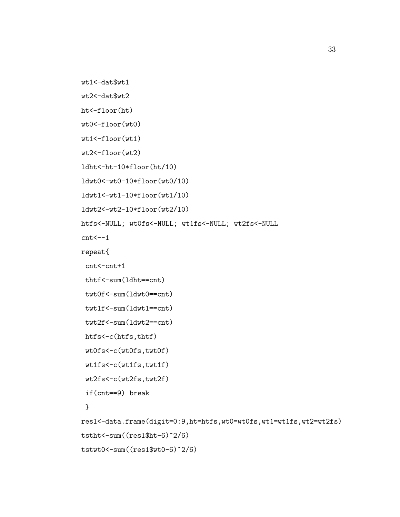```
wt1<-dat$wt1
```

```
wt2<-dat$wt2
```

```
ht<-floor(ht)
```

```
wt0<-floor(wt0)
```

```
wt1<-floor(wt1)
```

```
wt2<-floor(wt2)
```

```
ldht<-ht-10*floor(ht/10)
```

```
ldwt0<-wt0-10*floor(wt0/10)
```

```
ldwt1<-wt1-10*floor(wt1/10)
```

```
ldwt2<-wt2-10*floor(wt2/10)
```

```
htfs<-NULL; wt0fs<-NULL; wt1fs<-NULL; wt2fs<-NULL
```
 $cnt < -1$ 

```
repeat{
```

```
cnt<-cnt+1
```

```
thtf<-sum(ldht==cnt)
```

```
twt0f<-sum(ldwt0==cnt)
```

```
twt1f<-sum(ldwt1==cnt)
```

```
twt2f<-sum(ldwt2==cnt)
```

```
htfs<-c(htfs,thtf)
```

```
wt0fs<-c(wt0fs,twt0f)
```

```
wt1fs<-c(wt1fs,twt1f)
```

```
wt2fs<-c(wt2fs,twt2f)
```

```
if(cnt==9) break
```

```
}
```

```
res1<-data.frame(digit=0:9,ht=htfs,wt0=wt0fs,wt1=wt1fs,wt2=wt2fs)
tstht \frac{-sum((res1$ht-6)^2/6)}{}tstwt0<-sum((res1$wt0-6)^2/6)
```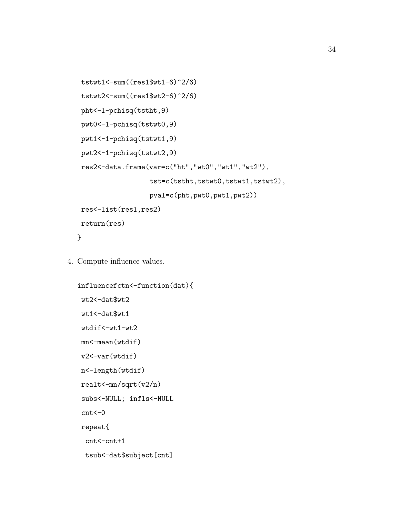```
tstwt1 < - sum((res1$wt1-6)^2/6)tstwt2<-sum((res1$wt2-6)^2/6)
pht<-1-pchisq(tstht,9)
pwt0<-1-pchisq(tstwt0,9)
pwt1<-1-pchisq(tstwt1,9)
pwt2<-1-pchisq(tstwt2,9)
res2<-data.frame(var=c("ht","wt0","wt1","wt2"),
                  tst=c(tstht,tstwt0,tstwt1,tstwt2),
                  pval=c(pht,pwt0,pwt1,pwt2))
res<-list(res1,res2)
return(res)
}
```
4. Compute influence values.

```
influencefctn<-function(dat){
wt2<-dat$wt2
wt1<-dat$wt1
wtdif<-wt1-wt2
mn<-mean(wtdif)
v2<-var(wtdif)
n<-length(wtdif)
realt<-mn/sqrt(v2/n)
subs<-NULL; infls<-NULL
cnt < -0repeat{
 cnt<-cnt+1
 tsub<-dat$subject[cnt]
```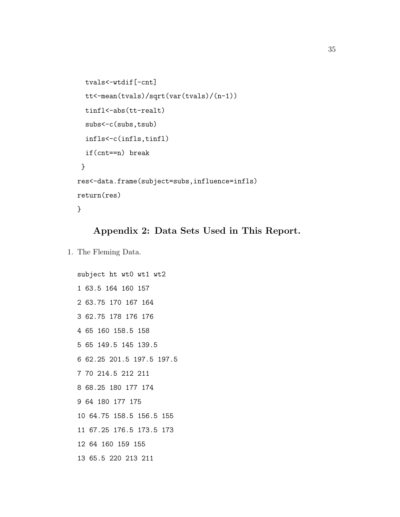```
tvals<-wtdif[-cnt]
 tt<-mean(tvals)/sqrt(var(tvals)/(n-1))
  tinfl<-abs(tt-realt)
  subs<-c(subs,tsub)
  infls<-c(infls,tinfl)
  if(cnt==n) break
 }
res<-data.frame(subject=subs,influence=infls)
return(res)
}
```
## Appendix 2: Data Sets Used in This Report.

1. The Fleming Data.

```
subject ht wt0 wt1 wt2
1 63.5 164 160 157
2 63.75 170 167 164
3 62.75 178 176 176
4 65 160 158.5 158
5 65 149.5 145 139.5
6 62.25 201.5 197.5 197.5
7 70 214.5 212 211
8 68.25 180 177 174
9 64 180 177 175
10 64.75 158.5 156.5 155
11 67.25 176.5 173.5 173
12 64 160 159 155
13 65.5 220 213 211
```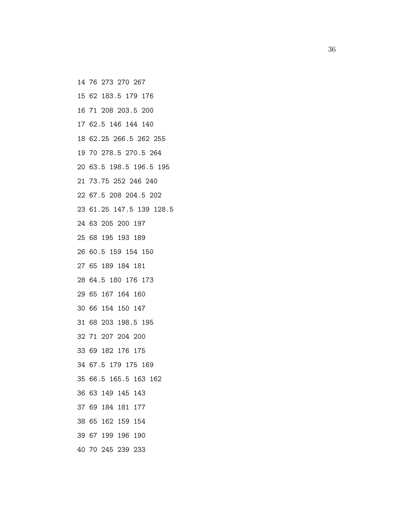- 14 76 273 270 267
- 15 62 183.5 179 176
- 16 71 208 203.5 200
- 17 62.5 146 144 140
- 18 62.25 266.5 262 255
- 19 70 278.5 270.5 264
- 20 63.5 198.5 196.5 195
- 21 73.75 252 246 240
- 22 67.5 208 204.5 202
- 23 61.25 147.5 139 128.5
- 24 63 205 200 197
- 25 68 195 193 189
- 26 60.5 159 154 150
- 27 65 189 184 181
- 28 64.5 180 176 173
- 29 65 167 164 160
- 30 66 154 150 147
- 31 68 203 198.5 195
- 32 71 207 204 200
- 33 69 182 176 175
- 34 67.5 179 175 169
- 35 66.5 165.5 163 162
- 36 63 149 145 143
- 37 69 184 181 177
- 38 65 162 159 154
- 39 67 199 196 190
- 40 70 245 239 233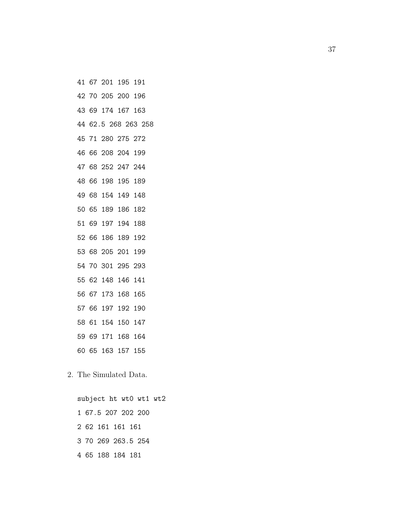- 41 67 201 195 191
- 42 70 205 200 196
- 43 69 174 167 163
- 44 62.5 268 263 258
- 45 71 280 275 272
- 46 66 208 204 199
- 47 68 252 247 244
- 48 66 198 195 189
- 49 68 154 149 148
- 50 65 189 186 182
- 51 69 197 194 188
- 52 66 186 189 192
- 53 68 205 201 199
- 54 70 301 295 293
- 55 62 148 146 141
- 56 67 173 168 165
- 57 66 197 192 190
- 58 61 154 150 147
- 59 69 171 168 164
- 60 65 163 157 155
- 2. The Simulated Data.
	- subject ht wt0 wt1 wt2 1 67.5 207 202 200 2 62 161 161 161 3 70 269 263.5 254 4 65 188 184 181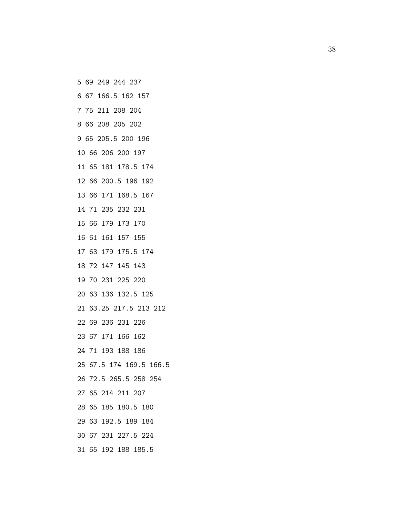- 5 69 249 244 237
- 6 67 166.5 162 157
- 7 75 211 208 204
- 8 66 208 205 202
- 9 65 205.5 200 196
- 10 66 206 200 197
- 11 65 181 178.5 174
- 12 66 200.5 196 192
- 13 66 171 168.5 167
- 14 71 235 232 231
- 15 66 179 173 170
- 16 61 161 157 155
- 17 63 179 175.5 174
- 18 72 147 145 143
- 19 70 231 225 220
- 20 63 136 132.5 125
- 21 63.25 217.5 213 212
- 22 69 236 231 226
- 23 67 171 166 162
- 24 71 193 188 186
- 25 67.5 174 169.5 166.5
- 26 72.5 265.5 258 254
- 27 65 214 211 207
- 28 65 185 180.5 180
- 29 63 192.5 189 184
- 30 67 231 227.5 224
- 31 65 192 188 185.5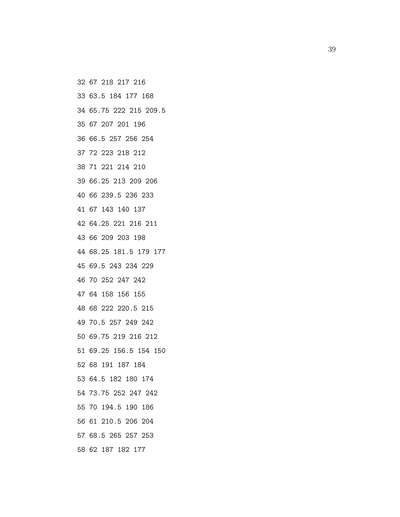- 32 67 218 217 216
- 33 63.5 184 177 168
- 34 65.75 222 215 209.5
- 35 67 207 201 196
- 36 66.5 257 256 254
- 37 72 223 218 212
- 38 71 221 214 210
- 39 66.25 213 209 206
- 40 66 239.5 236 233
- 41 67 143 140 137
- 42 64.25 221 216 211
- 43 66 209 203 198
- 44 68.25 181.5 179 177
- 45 69.5 243 234 229
- 46 70 252 247 242
- 47 64 158 156 155
- 48 68 222 220.5 215
- 49 70.5 257 249 242
- 50 69.75 219 216 212
- 51 69.25 156.5 154 150
- 52 68 191 187 184
- 53 64.5 182 180 174
- 54 73.75 252 247 242
- 55 70 194.5 190 186
- 56 61 210.5 206 204
- 57 68.5 265 257 253
- 58 62 187 182 177